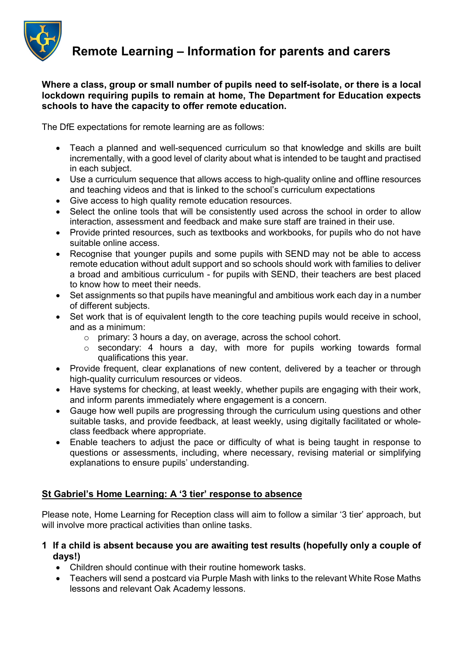

Remote Learning – Information for parents and carers

Where a class, group or small number of pupils need to self-isolate, or there is a local lockdown requiring pupils to remain at home, The Department for Education expects schools to have the capacity to offer remote education.

The DfE expectations for remote learning are as follows:

- Teach a planned and well-sequenced curriculum so that knowledge and skills are built incrementally, with a good level of clarity about what is intended to be taught and practised in each subject.
- Use a curriculum sequence that allows access to high-quality online and offline resources and teaching videos and that is linked to the school's curriculum expectations
- Give access to high quality remote education resources.
- Select the online tools that will be consistently used across the school in order to allow interaction, assessment and feedback and make sure staff are trained in their use.
- Provide printed resources, such as textbooks and workbooks, for pupils who do not have suitable online access.
- Recognise that younger pupils and some pupils with SEND may not be able to access remote education without adult support and so schools should work with families to deliver a broad and ambitious curriculum - for pupils with SEND, their teachers are best placed to know how to meet their needs.
- Set assignments so that pupils have meaningful and ambitious work each day in a number of different subjects.
- Set work that is of equivalent length to the core teaching pupils would receive in school, and as a minimum:
	- o primary: 3 hours a day, on average, across the school cohort.
	- o secondary: 4 hours a day, with more for pupils working towards formal qualifications this year.
- Provide frequent, clear explanations of new content, delivered by a teacher or through high-quality curriculum resources or videos.
- Have systems for checking, at least weekly, whether pupils are engaging with their work, and inform parents immediately where engagement is a concern.
- Gauge how well pupils are progressing through the curriculum using questions and other suitable tasks, and provide feedback, at least weekly, using digitally facilitated or wholeclass feedback where appropriate.
- Enable teachers to adjust the pace or difficulty of what is being taught in response to questions or assessments, including, where necessary, revising material or simplifying explanations to ensure pupils' understanding.

# St Gabriel's Home Learning: A '3 tier' response to absence

Please note, Home Learning for Reception class will aim to follow a similar '3 tier' approach, but will involve more practical activities than online tasks.

- 1 If a child is absent because you are awaiting test results (hopefully only a couple of days!)
	- Children should continue with their routine homework tasks.
	- Teachers will send a postcard via Purple Mash with links to the relevant White Rose Maths lessons and relevant Oak Academy lessons.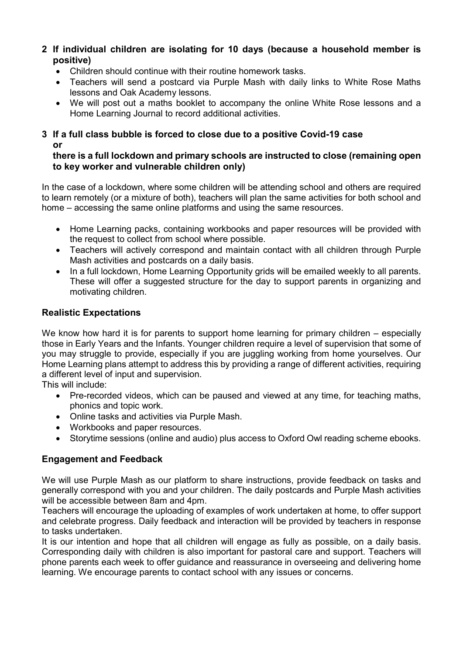- 2 If individual children are isolating for 10 days (because a household member is positive)
	- Children should continue with their routine homework tasks.
	- Teachers will send a postcard via Purple Mash with daily links to White Rose Maths lessons and Oak Academy lessons.
	- We will post out a maths booklet to accompany the online White Rose lessons and a Home Learning Journal to record additional activities.

# 3 If a full class bubble is forced to close due to a positive Covid-19 case or

## there is a full lockdown and primary schools are instructed to close (remaining open to key worker and vulnerable children only)

In the case of a lockdown, where some children will be attending school and others are required to learn remotely (or a mixture of both), teachers will plan the same activities for both school and home – accessing the same online platforms and using the same resources.

- Home Learning packs, containing workbooks and paper resources will be provided with the request to collect from school where possible.
- Teachers will actively correspond and maintain contact with all children through Purple Mash activities and postcards on a daily basis.
- In a full lockdown, Home Learning Opportunity grids will be emailed weekly to all parents. These will offer a suggested structure for the day to support parents in organizing and motivating children.

# Realistic Expectations

We know how hard it is for parents to support home learning for primary children – especially those in Early Years and the Infants. Younger children require a level of supervision that some of you may struggle to provide, especially if you are juggling working from home yourselves. Our Home Learning plans attempt to address this by providing a range of different activities, requiring a different level of input and supervision.

This will include:

- Pre-recorded videos, which can be paused and viewed at any time, for teaching maths, phonics and topic work.
- Online tasks and activities via Purple Mash.
- Workbooks and paper resources.
- Storytime sessions (online and audio) plus access to Oxford Owl reading scheme ebooks.

# Engagement and Feedback

We will use Purple Mash as our platform to share instructions, provide feedback on tasks and generally correspond with you and your children. The daily postcards and Purple Mash activities will be accessible between 8am and 4pm.

Teachers will encourage the uploading of examples of work undertaken at home, to offer support and celebrate progress. Daily feedback and interaction will be provided by teachers in response to tasks undertaken.

It is our intention and hope that all children will engage as fully as possible, on a daily basis. Corresponding daily with children is also important for pastoral care and support. Teachers will phone parents each week to offer guidance and reassurance in overseeing and delivering home learning. We encourage parents to contact school with any issues or concerns.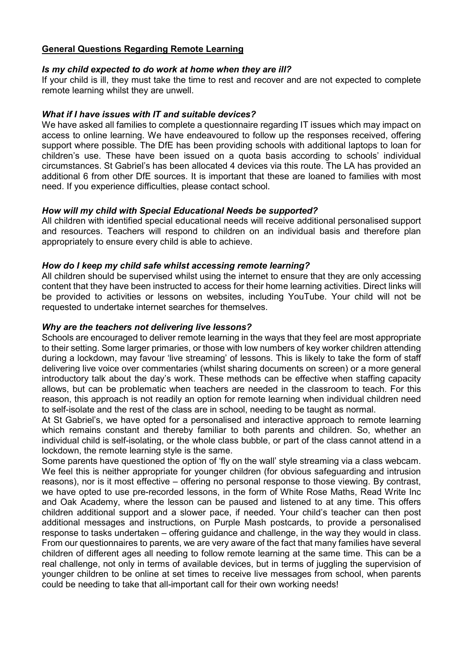#### General Questions Regarding Remote Learning

#### Is my child expected to do work at home when they are ill?

If your child is ill, they must take the time to rest and recover and are not expected to complete remote learning whilst they are unwell.

## What if I have issues with IT and suitable devices?

We have asked all families to complete a questionnaire regarding IT issues which may impact on access to online learning. We have endeavoured to follow up the responses received, offering support where possible. The DfE has been providing schools with additional laptops to loan for children's use. These have been issued on a quota basis according to schools' individual circumstances. St Gabriel's has been allocated 4 devices via this route. The LA has provided an additional 6 from other DfE sources. It is important that these are loaned to families with most need. If you experience difficulties, please contact school.

# How will my child with Special Educational Needs be supported?

All children with identified special educational needs will receive additional personalised support and resources. Teachers will respond to children on an individual basis and therefore plan appropriately to ensure every child is able to achieve.

## How do I keep my child safe whilst accessing remote learning?

All children should be supervised whilst using the internet to ensure that they are only accessing content that they have been instructed to access for their home learning activities. Direct links will be provided to activities or lessons on websites, including YouTube. Your child will not be requested to undertake internet searches for themselves.

## Why are the teachers not delivering live lessons?

Schools are encouraged to deliver remote learning in the ways that they feel are most appropriate to their setting. Some larger primaries, or those with low numbers of key worker children attending during a lockdown, may favour 'live streaming' of lessons. This is likely to take the form of staff delivering live voice over commentaries (whilst sharing documents on screen) or a more general introductory talk about the day's work. These methods can be effective when staffing capacity allows, but can be problematic when teachers are needed in the classroom to teach. For this reason, this approach is not readily an option for remote learning when individual children need to self-isolate and the rest of the class are in school, needing to be taught as normal.

At St Gabriel's, we have opted for a personalised and interactive approach to remote learning which remains constant and thereby familiar to both parents and children. So, whether an individual child is self-isolating, or the whole class bubble, or part of the class cannot attend in a lockdown, the remote learning style is the same.

Some parents have questioned the option of 'fly on the wall' style streaming via a class webcam. We feel this is neither appropriate for younger children (for obvious safeguarding and intrusion reasons), nor is it most effective – offering no personal response to those viewing. By contrast, we have opted to use pre-recorded lessons, in the form of White Rose Maths, Read Write Inc and Oak Academy, where the lesson can be paused and listened to at any time. This offers children additional support and a slower pace, if needed. Your child's teacher can then post additional messages and instructions, on Purple Mash postcards, to provide a personalised response to tasks undertaken – offering guidance and challenge, in the way they would in class. From our questionnaires to parents, we are very aware of the fact that many families have several children of different ages all needing to follow remote learning at the same time. This can be a real challenge, not only in terms of available devices, but in terms of juggling the supervision of younger children to be online at set times to receive live messages from school, when parents could be needing to take that all-important call for their own working needs!